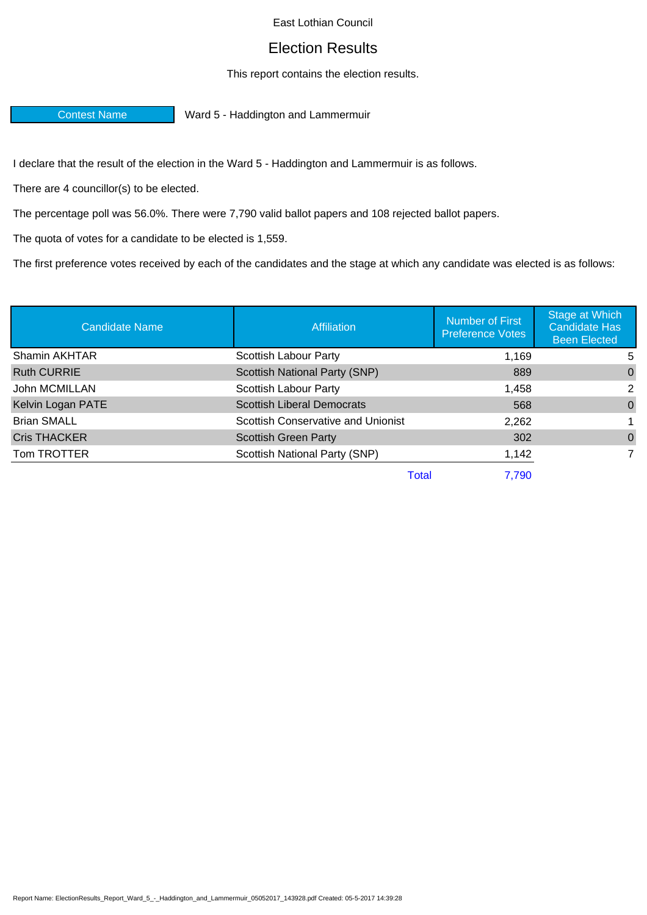## East Lothian Council

## Election Results

## This report contains the election results.

Contest Name Ward 5 - Haddington and Lammermuir

I declare that the result of the election in the Ward 5 - Haddington and Lammermuir is as follows.

There are 4 councillor(s) to be elected.

The percentage poll was 56.0%. There were 7,790 valid ballot papers and 108 rejected ballot papers.

The quota of votes for a candidate to be elected is 1,559.

The first preference votes received by each of the candidates and the stage at which any candidate was elected is as follows:

| <b>Candidate Name</b> | Affiliation                        | Number of First<br><b>Preference Votes</b> | Stage at Which<br><b>Candidate Has</b><br><b>Been Elected</b> |
|-----------------------|------------------------------------|--------------------------------------------|---------------------------------------------------------------|
| Shamin AKHTAR         | Scottish Labour Party              | 1,169                                      | 5                                                             |
| <b>Ruth CURRIE</b>    | Scottish National Party (SNP)      | 889                                        | $\Omega$                                                      |
| John MCMILLAN         | Scottish Labour Party              | 1,458                                      | 2                                                             |
| Kelvin Logan PATE     | <b>Scottish Liberal Democrats</b>  | 568                                        | $\Omega$                                                      |
| <b>Brian SMALL</b>    | Scottish Conservative and Unionist | 2,262                                      |                                                               |
| <b>Cris THACKER</b>   | <b>Scottish Green Party</b>        | 302                                        | $\Omega$                                                      |
| Tom TROTTER           | Scottish National Party (SNP)      | 1,142                                      | 7                                                             |
|                       | Total                              | 7,790                                      |                                                               |